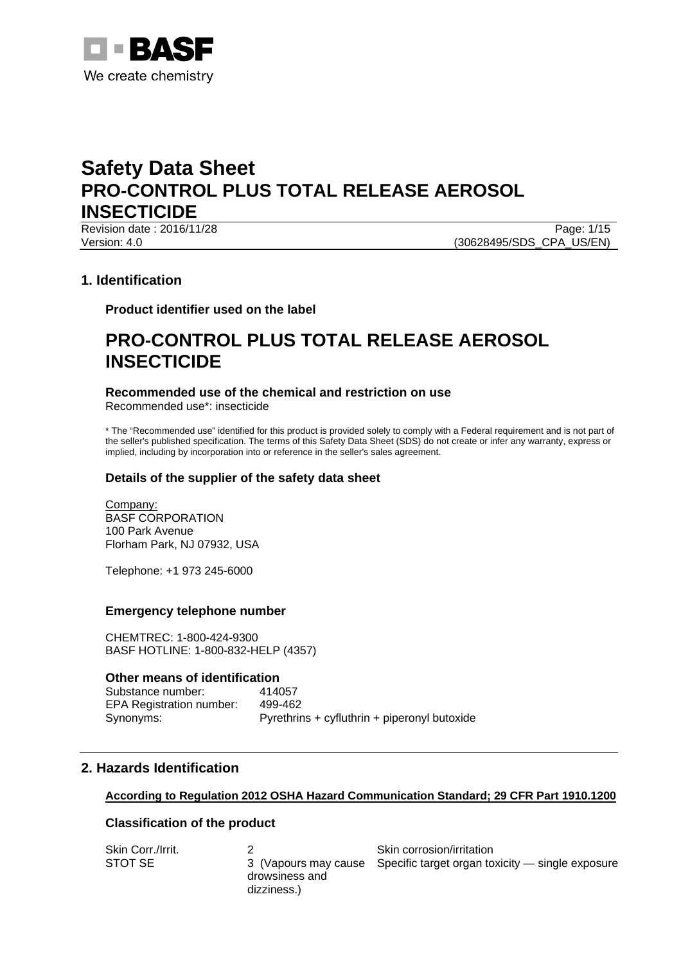

Revision date : 2016/11/28 Page: 1/15 Version: 4.0 (30628495/SDS\_CPA\_US/EN)

# **1. Identification**

**Product identifier used on the label** 

# **PRO-CONTROL PLUS TOTAL RELEASE AEROSOL INSECTICIDE**

### **Recommended use of the chemical and restriction on use**

Recommended use\*: insecticide

\* The "Recommended use" identified for this product is provided solely to comply with a Federal requirement and is not part of the seller's published specification. The terms of this Safety Data Sheet (SDS) do not create or infer any warranty, express or implied, including by incorporation into or reference in the seller's sales agreement.

# **Details of the supplier of the safety data sheet**

Company: BASF CORPORATION 100 Park Avenue Florham Park, NJ 07932, USA

Telephone: +1 973 245-6000

### **Emergency telephone number**

CHEMTREC: 1-800-424-9300 BASF HOTLINE: 1-800-832-HELP (4357)

### **Other means of identification**

Substance number: 414057 EPA Registration number: 499-462 Synonyms: Pyrethrins + cyfluthrin + piperonyl butoxide

# **2. Hazards Identification**

### **According to Regulation 2012 OSHA Hazard Communication Standard; 29 CFR Part 1910.1200**

### **Classification of the product**

| Skin Corr./Irrit. |                               | Skin corrosion/irritation                                             |
|-------------------|-------------------------------|-----------------------------------------------------------------------|
| STOT SE           |                               | 3 (Vapours may cause Specific target organ toxicity — single exposure |
|                   | drowsiness and<br>dizziness.) |                                                                       |
|                   |                               |                                                                       |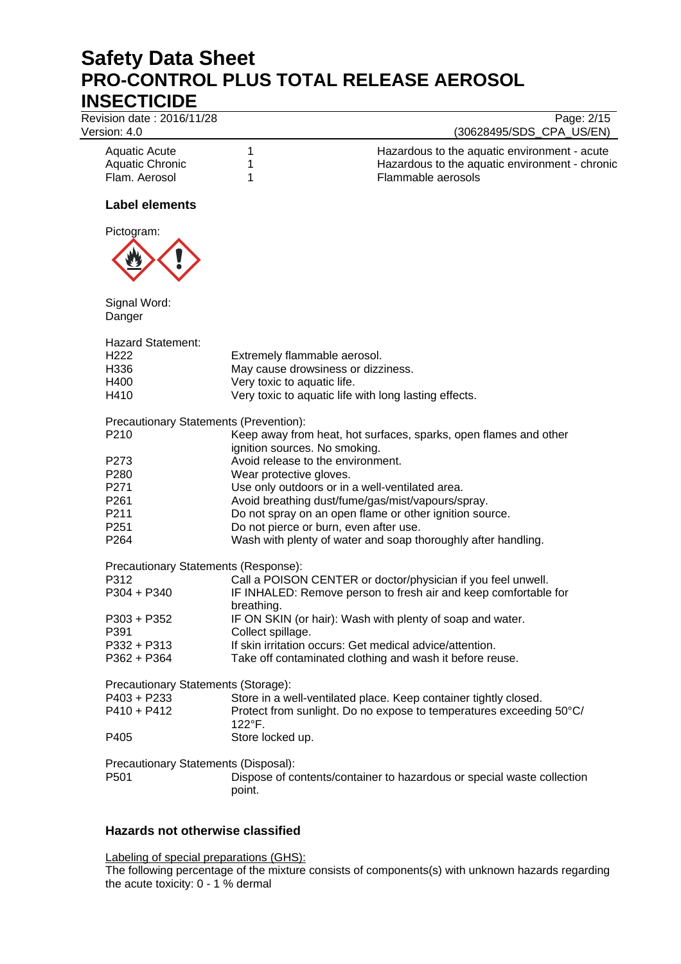Revision date : 2016/11/28 Page: 2/15

# Version: 4.0 (30628495/SDS\_CPA\_US/EN)

| Aquatic Acute   | Hazardous to the aquatic environment - acute   |
|-----------------|------------------------------------------------|
| Aquatic Chronic | Hazardous to the aquatic environment - chronic |
| Flam. Aerosol   | Flammable aerosols                             |

# **Label elements**



| Signal Word:<br>Danger                        |                                                                                                   |
|-----------------------------------------------|---------------------------------------------------------------------------------------------------|
| <b>Hazard Statement:</b>                      |                                                                                                   |
| H222                                          | Extremely flammable aerosol.                                                                      |
| H336                                          | May cause drowsiness or dizziness.                                                                |
| H400                                          | Very toxic to aquatic life.                                                                       |
| H410                                          | Very toxic to aquatic life with long lasting effects.                                             |
| <b>Precautionary Statements (Prevention):</b> |                                                                                                   |
| P210                                          | Keep away from heat, hot surfaces, sparks, open flames and other<br>ignition sources. No smoking. |
| P273                                          | Avoid release to the environment.                                                                 |
| P280                                          | Wear protective gloves.                                                                           |
| P271                                          | Use only outdoors or in a well-ventilated area.                                                   |
| P261                                          | Avoid breathing dust/fume/gas/mist/vapours/spray.                                                 |
| P211                                          | Do not spray on an open flame or other ignition source.                                           |
| P251                                          | Do not pierce or burn, even after use.                                                            |
| P264                                          | Wash with plenty of water and soap thoroughly after handling.                                     |
| Precautionary Statements (Response):          |                                                                                                   |
| P312                                          | Call a POISON CENTER or doctor/physician if you feel unwell.                                      |
| P304 + P340                                   | IF INHALED: Remove person to fresh air and keep comfortable for<br>breathing.                     |
| P303 + P352                                   | IF ON SKIN (or hair): Wash with plenty of soap and water.                                         |
| P391                                          | Collect spillage.                                                                                 |
| P332 + P313                                   | If skin irritation occurs: Get medical advice/attention.                                          |
| P362 + P364                                   | Take off contaminated clothing and wash it before reuse.                                          |
| Precautionary Statements (Storage):           |                                                                                                   |
| P403 + P233                                   | Store in a well-ventilated place. Keep container tightly closed.                                  |
| P410 + P412                                   | Protect from sunlight. Do no expose to temperatures exceeding 50°C/<br>122°F.                     |
| P405                                          | Store locked up.                                                                                  |
| Precautionary Statements (Disposal):          |                                                                                                   |
| P501                                          | Dispose of contents/container to hazardous or special waste collection<br>point.                  |

# **Hazards not otherwise classified**

Labeling of special preparations (GHS): The following percentage of the mixture consists of components(s) with unknown hazards regarding the acute toxicity: 0 - 1 % dermal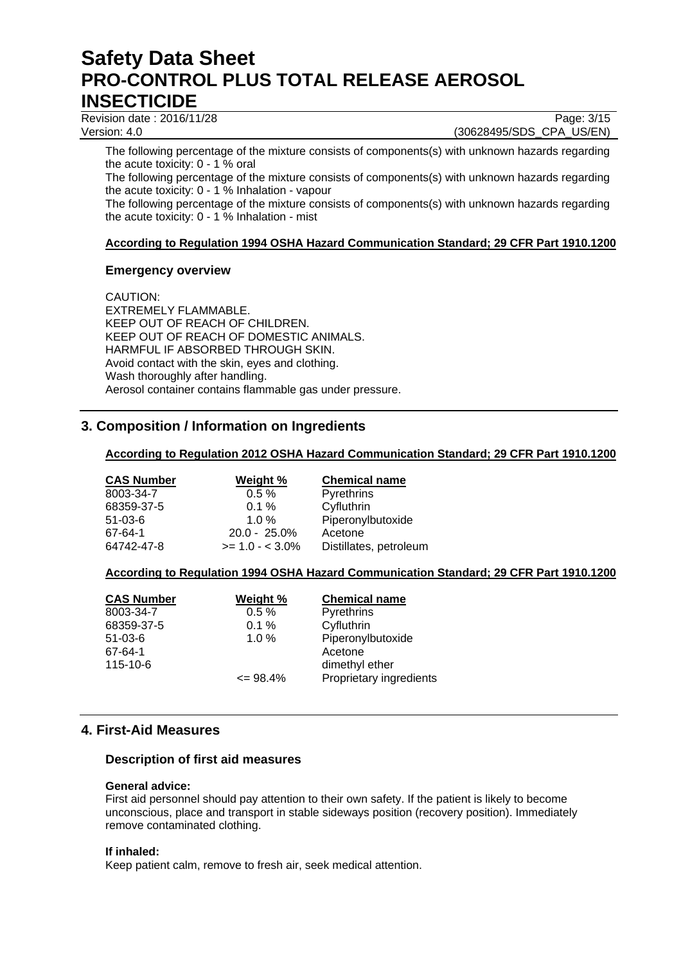Revision date : 2016/11/28 Page: 3/15

Version: 4.0 (30628495/SDS\_CPA\_US/EN)

The following percentage of the mixture consists of components(s) with unknown hazards regarding the acute toxicity: 0 - 1 % oral

The following percentage of the mixture consists of components(s) with unknown hazards regarding the acute toxicity: 0 - 1 % Inhalation - vapour

The following percentage of the mixture consists of components(s) with unknown hazards regarding the acute toxicity: 0 - 1 % Inhalation - mist

# **According to Regulation 1994 OSHA Hazard Communication Standard; 29 CFR Part 1910.1200**

# **Emergency overview**

CAUTION: EXTREMELY FLAMMABLE. KEEP OUT OF REACH OF CHILDREN. KEEP OUT OF REACH OF DOMESTIC ANIMALS. HARMFUL IF ABSORBED THROUGH SKIN. Avoid contact with the skin, eyes and clothing. Wash thoroughly after handling. Aerosol container contains flammable gas under pressure.

# **3. Composition / Information on Ingredients**

# **According to Regulation 2012 OSHA Hazard Communication Standard; 29 CFR Part 1910.1200**

| <b>CAS Number</b> | Weight %           | <b>Chemical name</b>   |
|-------------------|--------------------|------------------------|
| 8003-34-7         | $0.5 \%$           | Pyrethrins             |
| 68359-37-5        | $0.1 \%$           | Cyfluthrin             |
| $51-03-6$         | $1.0 \%$           | Piperonylbutoxide      |
| 67-64-1           | $20.0 - 25.0\%$    | Acetone                |
| 64742-47-8        | $>= 1.0 - < 3.0\%$ | Distillates, petroleum |

# **According to Regulation 1994 OSHA Hazard Communication Standard; 29 CFR Part 1910.1200**

| <b>CAS Number</b> | Weight %     | <b>Chemical name</b>    |
|-------------------|--------------|-------------------------|
| 8003-34-7         | 0.5%         | Pyrethrins              |
| 68359-37-5        | 0.1%         | Cyfluthrin              |
| $51 - 03 - 6$     | $1.0 \%$     | Piperonylbutoxide       |
| 67-64-1           |              | Acetone                 |
| 115-10-6          |              | dimethyl ether          |
|                   | $\leq$ 98.4% | Proprietary ingredients |

# **4. First-Aid Measures**

### **Description of first aid measures**

### **General advice:**

First aid personnel should pay attention to their own safety. If the patient is likely to become unconscious, place and transport in stable sideways position (recovery position). Immediately remove contaminated clothing.

### **If inhaled:**

Keep patient calm, remove to fresh air, seek medical attention.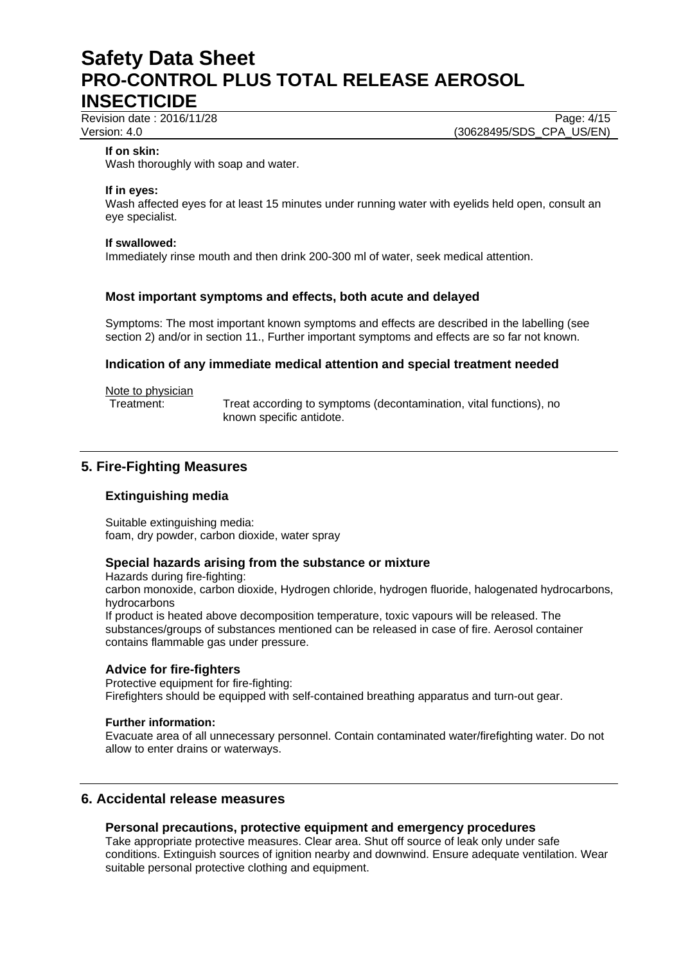Revision date : 2016/11/28 Page: 4/15

Version: 4.0 (30628495/SDS\_CPA\_US/EN)

#### **If on skin:**

Wash thoroughly with soap and water.

#### **If in eyes:**

Wash affected eyes for at least 15 minutes under running water with eyelids held open, consult an eye specialist.

#### **If swallowed:**

Immediately rinse mouth and then drink 200-300 ml of water, seek medical attention.

### **Most important symptoms and effects, both acute and delayed**

Symptoms: The most important known symptoms and effects are described in the labelling (see section 2) and/or in section 11., Further important symptoms and effects are so far not known.

### **Indication of any immediate medical attention and special treatment needed**

Note to physician

Treatment: Treat according to symptoms (decontamination, vital functions), no known specific antidote.

# **5. Fire-Fighting Measures**

### **Extinguishing media**

Suitable extinguishing media: foam, dry powder, carbon dioxide, water spray

### **Special hazards arising from the substance or mixture**

Hazards during fire-fighting: carbon monoxide, carbon dioxide, Hydrogen chloride, hydrogen fluoride, halogenated hydrocarbons, hydrocarbons

If product is heated above decomposition temperature, toxic vapours will be released. The substances/groups of substances mentioned can be released in case of fire. Aerosol container contains flammable gas under pressure.

### **Advice for fire-fighters**

Protective equipment for fire-fighting: Firefighters should be equipped with self-contained breathing apparatus and turn-out gear.

#### **Further information:**

Evacuate area of all unnecessary personnel. Contain contaminated water/firefighting water. Do not allow to enter drains or waterways.

# **6. Accidental release measures**

### **Personal precautions, protective equipment and emergency procedures**

Take appropriate protective measures. Clear area. Shut off source of leak only under safe conditions. Extinguish sources of ignition nearby and downwind. Ensure adequate ventilation. Wear suitable personal protective clothing and equipment.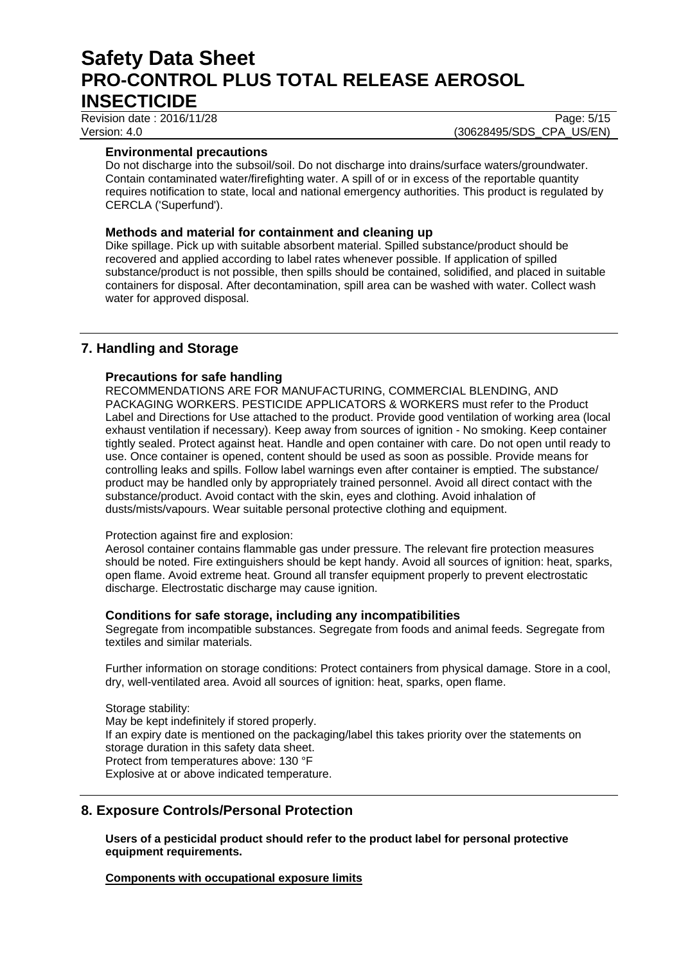Revision date : 2016/11/28 Page: 5/15

Version: 4.0 (30628495/SDS\_CPA\_US/EN)

# **Environmental precautions**

Do not discharge into the subsoil/soil. Do not discharge into drains/surface waters/groundwater. Contain contaminated water/firefighting water. A spill of or in excess of the reportable quantity requires notification to state, local and national emergency authorities. This product is regulated by CERCLA ('Superfund').

# **Methods and material for containment and cleaning up**

Dike spillage. Pick up with suitable absorbent material. Spilled substance/product should be recovered and applied according to label rates whenever possible. If application of spilled substance/product is not possible, then spills should be contained, solidified, and placed in suitable containers for disposal. After decontamination, spill area can be washed with water. Collect wash water for approved disposal.

# **7. Handling and Storage**

### **Precautions for safe handling**

RECOMMENDATIONS ARE FOR MANUFACTURING, COMMERCIAL BLENDING, AND PACKAGING WORKERS. PESTICIDE APPLICATORS & WORKERS must refer to the Product Label and Directions for Use attached to the product. Provide good ventilation of working area (local exhaust ventilation if necessary). Keep away from sources of ignition - No smoking. Keep container tightly sealed. Protect against heat. Handle and open container with care. Do not open until ready to use. Once container is opened, content should be used as soon as possible. Provide means for controlling leaks and spills. Follow label warnings even after container is emptied. The substance/ product may be handled only by appropriately trained personnel. Avoid all direct contact with the substance/product. Avoid contact with the skin, eyes and clothing. Avoid inhalation of dusts/mists/vapours. Wear suitable personal protective clothing and equipment.

### Protection against fire and explosion:

Aerosol container contains flammable gas under pressure. The relevant fire protection measures should be noted. Fire extinguishers should be kept handy. Avoid all sources of ignition: heat, sparks, open flame. Avoid extreme heat. Ground all transfer equipment properly to prevent electrostatic discharge. Electrostatic discharge may cause ignition.

### **Conditions for safe storage, including any incompatibilities**

Segregate from incompatible substances. Segregate from foods and animal feeds. Segregate from textiles and similar materials.

Further information on storage conditions: Protect containers from physical damage. Store in a cool, dry, well-ventilated area. Avoid all sources of ignition: heat, sparks, open flame.

Storage stability: May be kept indefinitely if stored properly. If an expiry date is mentioned on the packaging/label this takes priority over the statements on storage duration in this safety data sheet. Protect from temperatures above: 130 °F Explosive at or above indicated temperature.

# **8. Exposure Controls/Personal Protection**

**Users of a pesticidal product should refer to the product label for personal protective equipment requirements.** 

### **Components with occupational exposure limits**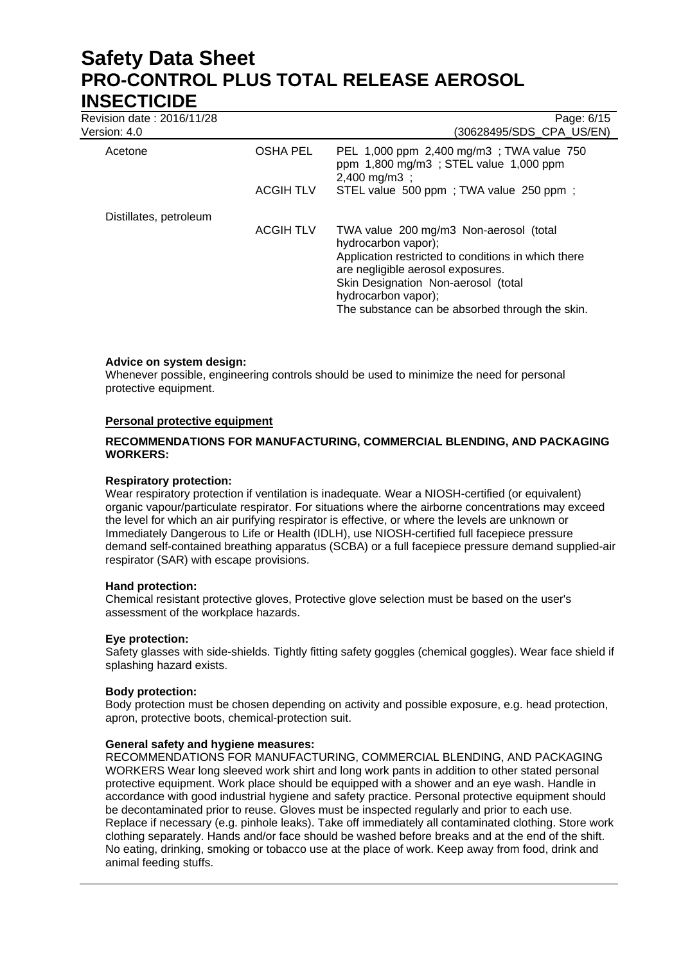| Revision date: 2016/11/28<br>Version: 4.0 |                  | Page: 6/15<br>(30628495/SDS CPA US/EN)                                                                       |
|-------------------------------------------|------------------|--------------------------------------------------------------------------------------------------------------|
| Acetone                                   | <b>OSHA PEL</b>  | PEL 1,000 ppm 2,400 mg/m3; TWA value 750<br>ppm 1,800 mg/m3; STEL value 1,000 ppm<br>$2,400 \text{ mg/m}3$ ; |
|                                           | <b>ACGIH TLV</b> | STEL value 500 ppm; TWA value 250 ppm;                                                                       |
| Distillates, petroleum                    |                  |                                                                                                              |
|                                           | <b>ACGIH TLV</b> | TWA value 200 mg/m3 Non-aerosol (total<br>hydrocarbon vapor);                                                |
|                                           |                  | Application restricted to conditions in which there<br>are negligible aerosol exposures.                     |
|                                           |                  | Skin Designation Non-aerosol (total                                                                          |
|                                           |                  | hydrocarbon vapor);<br>The substance can be absorbed through the skin.                                       |

### **Advice on system design:**

Whenever possible, engineering controls should be used to minimize the need for personal protective equipment.

### **Personal protective equipment**

### **RECOMMENDATIONS FOR MANUFACTURING, COMMERCIAL BLENDING, AND PACKAGING WORKERS:**

#### **Respiratory protection:**

Wear respiratory protection if ventilation is inadequate. Wear a NIOSH-certified (or equivalent) organic vapour/particulate respirator. For situations where the airborne concentrations may exceed the level for which an air purifying respirator is effective, or where the levels are unknown or Immediately Dangerous to Life or Health (IDLH), use NIOSH-certified full facepiece pressure demand self-contained breathing apparatus (SCBA) or a full facepiece pressure demand supplied-air respirator (SAR) with escape provisions.

### **Hand protection:**

Chemical resistant protective gloves, Protective glove selection must be based on the user's assessment of the workplace hazards.

### **Eye protection:**

Safety glasses with side-shields. Tightly fitting safety goggles (chemical goggles). Wear face shield if splashing hazard exists.

### **Body protection:**

Body protection must be chosen depending on activity and possible exposure, e.g. head protection, apron, protective boots, chemical-protection suit.

### **General safety and hygiene measures:**

RECOMMENDATIONS FOR MANUFACTURING, COMMERCIAL BLENDING, AND PACKAGING WORKERS Wear long sleeved work shirt and long work pants in addition to other stated personal protective equipment. Work place should be equipped with a shower and an eye wash. Handle in accordance with good industrial hygiene and safety practice. Personal protective equipment should be decontaminated prior to reuse. Gloves must be inspected regularly and prior to each use. Replace if necessary (e.g. pinhole leaks). Take off immediately all contaminated clothing. Store work clothing separately. Hands and/or face should be washed before breaks and at the end of the shift. No eating, drinking, smoking or tobacco use at the place of work. Keep away from food, drink and animal feeding stuffs.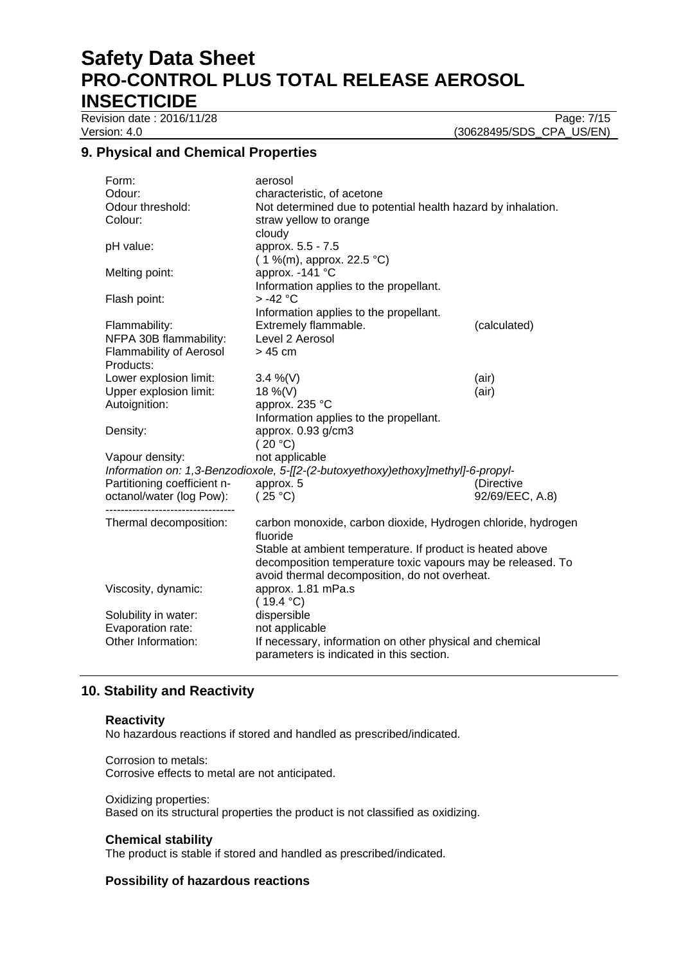Revision date : 2016/11/28 Page: 7/15

Version: 4.0 (30628495/SDS\_CPA\_US/EN)

# **9. Physical and Chemical Properties**

| Form:                          | aerosol                                                                          |                 |  |
|--------------------------------|----------------------------------------------------------------------------------|-----------------|--|
| Odour:                         | characteristic, of acetone                                                       |                 |  |
| Odour threshold:               | Not determined due to potential health hazard by inhalation.                     |                 |  |
| Colour:                        | straw yellow to orange                                                           |                 |  |
|                                | cloudy                                                                           |                 |  |
| pH value:                      | approx. 5.5 - 7.5                                                                |                 |  |
|                                | (1 %(m), approx. 22.5 °C)                                                        |                 |  |
| Melting point:                 | approx. -141 °C                                                                  |                 |  |
|                                | Information applies to the propellant.                                           |                 |  |
| Flash point:                   | $> -42$ °C                                                                       |                 |  |
|                                | Information applies to the propellant.                                           |                 |  |
| Flammability:                  | Extremely flammable.                                                             | (calculated)    |  |
| NFPA 30B flammability:         | Level 2 Aerosol                                                                  |                 |  |
| <b>Flammability of Aerosol</b> | $>45$ cm                                                                         |                 |  |
| Products:                      |                                                                                  |                 |  |
| Lower explosion limit:         | 3.4 %(V)                                                                         | (air)           |  |
| Upper explosion limit:         | 18 %(V)                                                                          | (air)           |  |
| Autoignition:                  | approx. 235 °C                                                                   |                 |  |
|                                | Information applies to the propellant.                                           |                 |  |
| Density:                       | approx. 0.93 g/cm3                                                               |                 |  |
|                                | (20 °C)                                                                          |                 |  |
| Vapour density:                | not applicable                                                                   |                 |  |
|                                | Information on: 1,3-Benzodioxole, 5-[[2-(2-butoxyethoxy)ethoxy]methyl]-6-propyl- |                 |  |
| Partitioning coefficient n-    | approx. 5                                                                        | (Directive      |  |
| octanol/water (log Pow):       | (25 °C)                                                                          | 92/69/EEC, A.8) |  |
|                                |                                                                                  |                 |  |
| Thermal decomposition:         | carbon monoxide, carbon dioxide, Hydrogen chloride, hydrogen<br>fluoride         |                 |  |
|                                | Stable at ambient temperature. If product is heated above                        |                 |  |
|                                | decomposition temperature toxic vapours may be released. To                      |                 |  |
|                                | avoid thermal decomposition, do not overheat.                                    |                 |  |
| Viscosity, dynamic:            | approx. 1.81 mPa.s                                                               |                 |  |
|                                | (19.4 °C)                                                                        |                 |  |
| Solubility in water:           | dispersible                                                                      |                 |  |
| Evaporation rate:              | not applicable                                                                   |                 |  |
| Other Information:             | If necessary, information on other physical and chemical                         |                 |  |
|                                | parameters is indicated in this section.                                         |                 |  |

# **10. Stability and Reactivity**

# **Reactivity**

No hazardous reactions if stored and handled as prescribed/indicated.

Corrosion to metals: Corrosive effects to metal are not anticipated.

Oxidizing properties:

Based on its structural properties the product is not classified as oxidizing.

# **Chemical stability**

The product is stable if stored and handled as prescribed/indicated.

# **Possibility of hazardous reactions**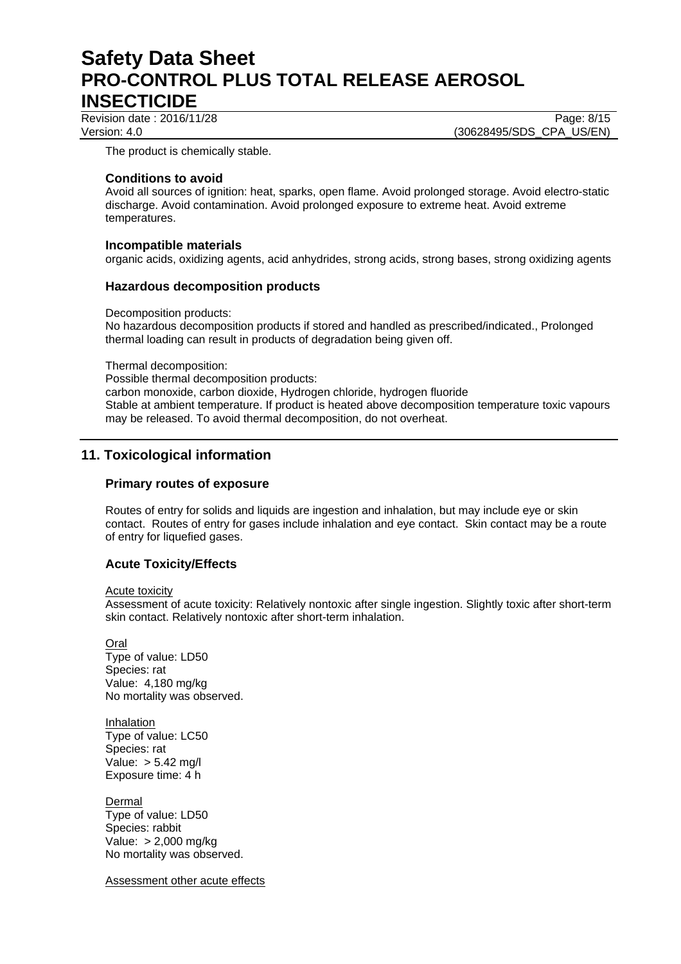Revision date : 2016/11/28 Page: 8/15 Version: 4.0 (30628495/SDS\_CPA\_US/EN)

The product is chemically stable.

# **Conditions to avoid**

Avoid all sources of ignition: heat, sparks, open flame. Avoid prolonged storage. Avoid electro-static discharge. Avoid contamination. Avoid prolonged exposure to extreme heat. Avoid extreme temperatures.

### **Incompatible materials**

organic acids, oxidizing agents, acid anhydrides, strong acids, strong bases, strong oxidizing agents

### **Hazardous decomposition products**

Decomposition products: No hazardous decomposition products if stored and handled as prescribed/indicated., Prolonged thermal loading can result in products of degradation being given off.

Thermal decomposition:

Possible thermal decomposition products:

carbon monoxide, carbon dioxide, Hydrogen chloride, hydrogen fluoride Stable at ambient temperature. If product is heated above decomposition temperature toxic vapours may be released. To avoid thermal decomposition, do not overheat.

# **11. Toxicological information**

# **Primary routes of exposure**

Routes of entry for solids and liquids are ingestion and inhalation, but may include eye or skin contact. Routes of entry for gases include inhalation and eye contact. Skin contact may be a route of entry for liquefied gases.

# **Acute Toxicity/Effects**

Acute toxicity

Assessment of acute toxicity: Relatively nontoxic after single ingestion. Slightly toxic after short-term skin contact. Relatively nontoxic after short-term inhalation.

**Oral** Type of value: LD50 Species: rat Value: 4,180 mg/kg No mortality was observed.

Inhalation Type of value: LC50 Species: rat Value: > 5.42 mg/l Exposure time: 4 h

Dermal Type of value: LD50 Species: rabbit Value: > 2,000 mg/kg No mortality was observed.

Assessment other acute effects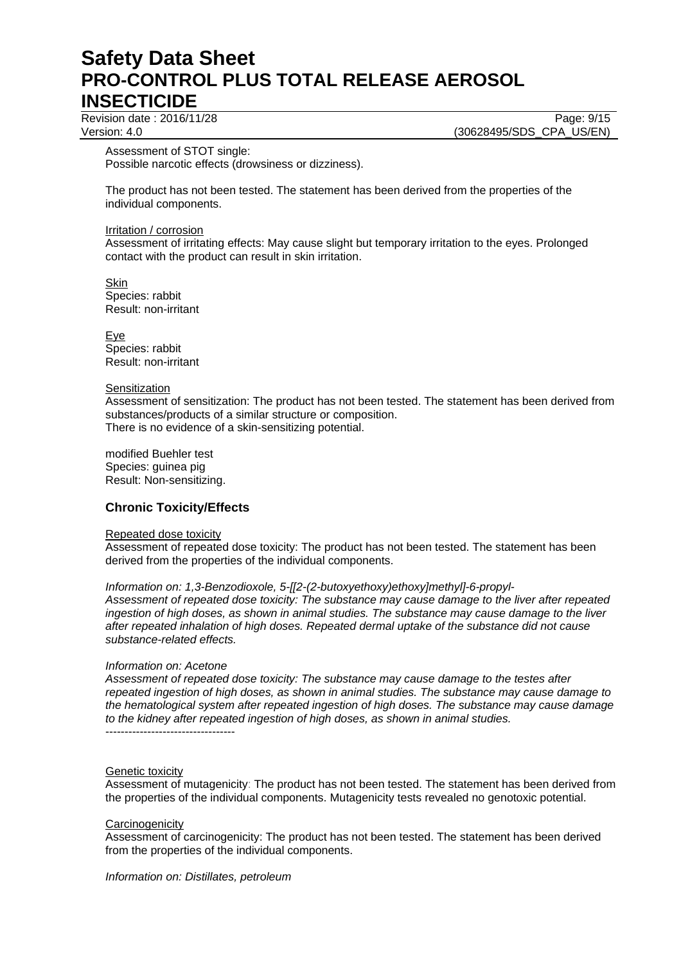Revision date : 2016/11/28 Page: 9/15

Version: 4.0 (30628495/SDS\_CPA\_US/EN)

Assessment of STOT single:

Possible narcotic effects (drowsiness or dizziness).

The product has not been tested. The statement has been derived from the properties of the individual components.

#### Irritation / corrosion

Assessment of irritating effects: May cause slight but temporary irritation to the eyes. Prolonged contact with the product can result in skin irritation.

**Skin** Species: rabbit Result: non-irritant

Eye Species: rabbit Result: non-irritant

#### **Sensitization**

Assessment of sensitization: The product has not been tested. The statement has been derived from substances/products of a similar structure or composition. There is no evidence of a skin-sensitizing potential.

modified Buehler test Species: guinea pig Result: Non-sensitizing.

# **Chronic Toxicity/Effects**

### Repeated dose toxicity

Assessment of repeated dose toxicity: The product has not been tested. The statement has been derived from the properties of the individual components.

*Information on: 1,3-Benzodioxole, 5-[[2-(2-butoxyethoxy)ethoxy]methyl]-6-propyl-Assessment of repeated dose toxicity: The substance may cause damage to the liver after repeated ingestion of high doses, as shown in animal studies. The substance may cause damage to the liver after repeated inhalation of high doses. Repeated dermal uptake of the substance did not cause substance-related effects.* 

### *Information on: Acetone*

*Assessment of repeated dose toxicity: The substance may cause damage to the testes after repeated ingestion of high doses, as shown in animal studies. The substance may cause damage to the hematological system after repeated ingestion of high doses. The substance may cause damage to the kidney after repeated ingestion of high doses, as shown in animal studies.*  ----------------------------------

### Genetic toxicity

Assessment of mutagenicity: The product has not been tested. The statement has been derived from the properties of the individual components. Mutagenicity tests revealed no genotoxic potential.

#### **Carcinogenicity**

Assessment of carcinogenicity: The product has not been tested. The statement has been derived from the properties of the individual components.

*Information on: Distillates, petroleum*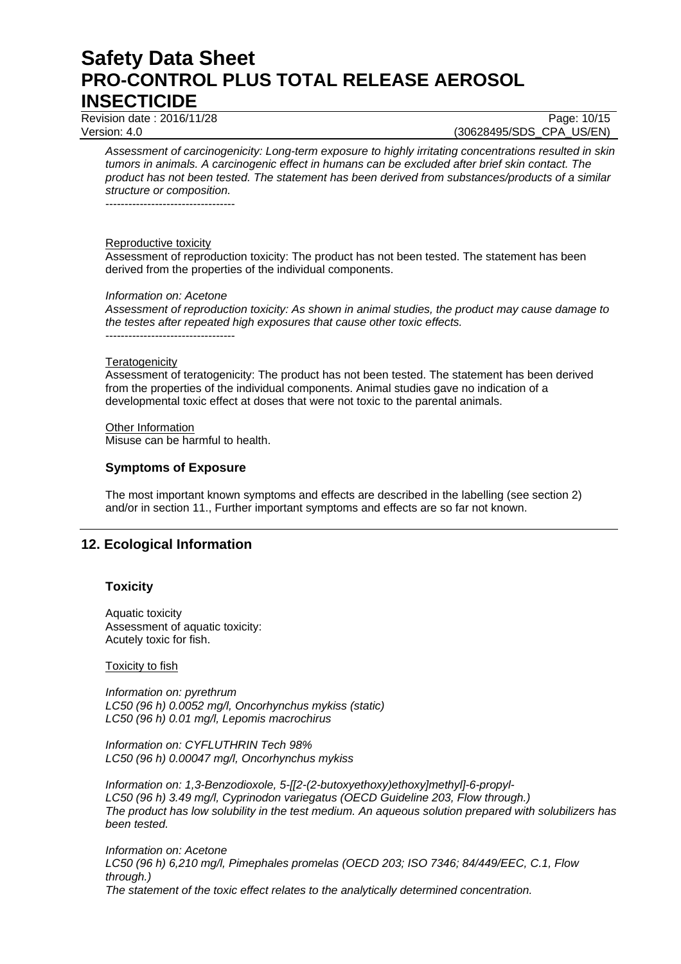Revision date : 2016/11/28 Page: 10/15

Version: 4.0 (30628495/SDS\_CPA\_US/EN)

*Assessment of carcinogenicity: Long-term exposure to highly irritating concentrations resulted in skin tumors in animals. A carcinogenic effect in humans can be excluded after brief skin contact. The product has not been tested. The statement has been derived from substances/products of a similar structure or composition.* 

----------------------------------

#### Reproductive toxicity

Assessment of reproduction toxicity: The product has not been tested. The statement has been derived from the properties of the individual components.

### *Information on: Acetone*

----------------------------------

*Assessment of reproduction toxicity: As shown in animal studies, the product may cause damage to the testes after repeated high exposures that cause other toxic effects.* 

#### **Teratogenicity**

Assessment of teratogenicity: The product has not been tested. The statement has been derived from the properties of the individual components. Animal studies gave no indication of a developmental toxic effect at doses that were not toxic to the parental animals.

Other Information Misuse can be harmful to health.

### **Symptoms of Exposure**

The most important known symptoms and effects are described in the labelling (see section 2) and/or in section 11., Further important symptoms and effects are so far not known.

# **12. Ecological Information**

# **Toxicity**

Aquatic toxicity Assessment of aquatic toxicity: Acutely toxic for fish.

### **Toxicity to fish**

*Information on: pyrethrum LC50 (96 h) 0.0052 mg/l, Oncorhynchus mykiss (static) LC50 (96 h) 0.01 mg/l, Lepomis macrochirus* 

*Information on: CYFLUTHRIN Tech 98% LC50 (96 h) 0.00047 mg/l, Oncorhynchus mykiss* 

*Information on: 1,3-Benzodioxole, 5-[[2-(2-butoxyethoxy)ethoxy]methyl]-6-propyl-LC50 (96 h) 3.49 mg/l, Cyprinodon variegatus (OECD Guideline 203, Flow through.) The product has low solubility in the test medium. An aqueous solution prepared with solubilizers has been tested.* 

*Information on: Acetone LC50 (96 h) 6,210 mg/l, Pimephales promelas (OECD 203; ISO 7346; 84/449/EEC, C.1, Flow through.) The statement of the toxic effect relates to the analytically determined concentration.*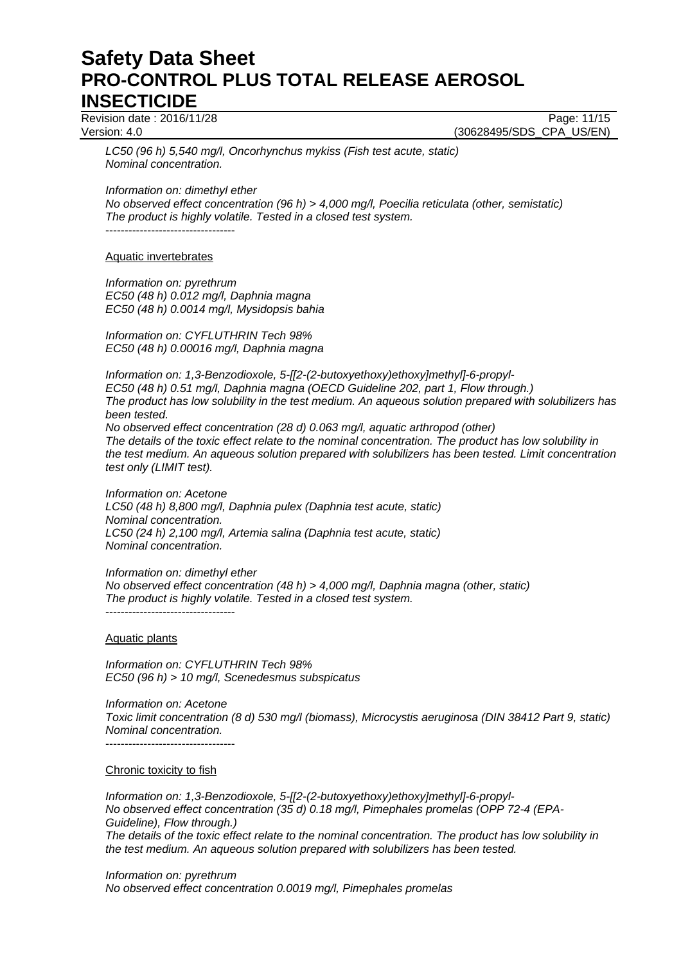Revision date : 2016/11/28 **Page: 11/15** 

Version: 4.0 (30628495/SDS\_CPA\_US/EN)

*LC50 (96 h) 5,540 mg/l, Oncorhynchus mykiss (Fish test acute, static) Nominal concentration.* 

*Information on: dimethyl ether No observed effect concentration (96 h) > 4,000 mg/l, Poecilia reticulata (other, semistatic) The product is highly volatile. Tested in a closed test system.* 

----------------------------------

Aquatic invertebrates

*Information on: pyrethrum EC50 (48 h) 0.012 mg/l, Daphnia magna EC50 (48 h) 0.0014 mg/l, Mysidopsis bahia* 

*Information on: CYFLUTHRIN Tech 98% EC50 (48 h) 0.00016 mg/l, Daphnia magna* 

*Information on: 1,3-Benzodioxole, 5-[[2-(2-butoxyethoxy)ethoxy]methyl]-6-propyl-EC50 (48 h) 0.51 mg/l, Daphnia magna (OECD Guideline 202, part 1, Flow through.) The product has low solubility in the test medium. An aqueous solution prepared with solubilizers has been tested. No observed effect concentration (28 d) 0.063 mg/l, aquatic arthropod (other)*

*The details of the toxic effect relate to the nominal concentration. The product has low solubility in the test medium. An aqueous solution prepared with solubilizers has been tested. Limit concentration test only (LIMIT test).* 

*Information on: Acetone LC50 (48 h) 8,800 mg/l, Daphnia pulex (Daphnia test acute, static) Nominal concentration. LC50 (24 h) 2,100 mg/l, Artemia salina (Daphnia test acute, static) Nominal concentration.* 

*Information on: dimethyl ether No observed effect concentration (48 h) > 4,000 mg/l, Daphnia magna (other, static) The product is highly volatile. Tested in a closed test system.*  ----------------------------------

Aquatic plants

*Information on: CYFLUTHRIN Tech 98% EC50 (96 h) > 10 mg/l, Scenedesmus subspicatus* 

*Information on: Acetone Toxic limit concentration (8 d) 530 mg/l (biomass), Microcystis aeruginosa (DIN 38412 Part 9, static) Nominal concentration.*  ----------------------------------

Chronic toxicity to fish

*Information on: 1,3-Benzodioxole, 5-[[2-(2-butoxyethoxy)ethoxy]methyl]-6-propyl-No observed effect concentration (35 d) 0.18 mg/l, Pimephales promelas (OPP 72-4 (EPA-Guideline), Flow through.) The details of the toxic effect relate to the nominal concentration. The product has low solubility in the test medium. An aqueous solution prepared with solubilizers has been tested.* 

*Information on: pyrethrum No observed effect concentration 0.0019 mg/l, Pimephales promelas*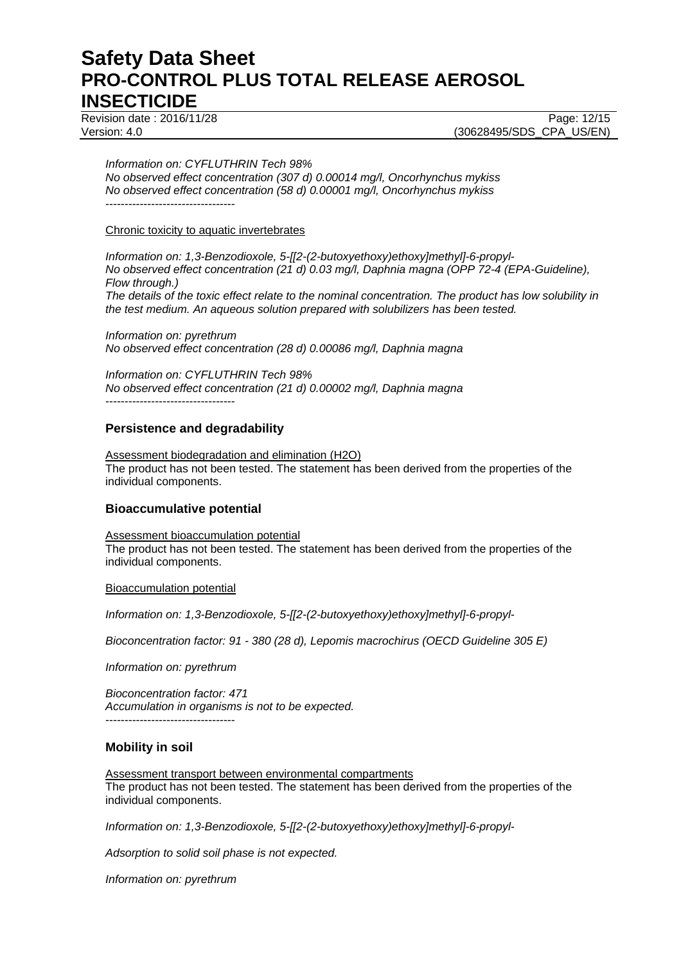Revision date : 2016/11/28 Page: 12/15

Version: 4.0 (30628495/SDS\_CPA\_US/EN)

#### *Information on: CYFLUTHRIN Tech 98%*

*No observed effect concentration (307 d) 0.00014 mg/l, Oncorhynchus mykiss No observed effect concentration (58 d) 0.00001 mg/l, Oncorhynchus mykiss*  ----------------------------------

#### Chronic toxicity to aquatic invertebrates

*Information on: 1,3-Benzodioxole, 5-[[2-(2-butoxyethoxy)ethoxy]methyl]-6-propyl-No observed effect concentration (21 d) 0.03 mg/l, Daphnia magna (OPP 72-4 (EPA-Guideline), Flow through.) The details of the toxic effect relate to the nominal concentration. The product has low solubility in the test medium. An aqueous solution prepared with solubilizers has been tested.* 

*Information on: pyrethrum No observed effect concentration (28 d) 0.00086 mg/l, Daphnia magna* 

*Information on: CYFLUTHRIN Tech 98% No observed effect concentration (21 d) 0.00002 mg/l, Daphnia magna*  ----------------------------------

# **Persistence and degradability**

Assessment biodegradation and elimination (H2O) The product has not been tested. The statement has been derived from the properties of the individual components.

# **Bioaccumulative potential**

Assessment bioaccumulation potential The product has not been tested. The statement has been derived from the properties of the individual components.

Bioaccumulation potential

*Information on: 1,3-Benzodioxole, 5-[[2-(2-butoxyethoxy)ethoxy]methyl]-6-propyl-*

*Bioconcentration factor: 91 - 380 (28 d), Lepomis macrochirus (OECD Guideline 305 E)* 

*Information on: pyrethrum* 

*Bioconcentration factor: 471 Accumulation in organisms is not to be expected.*  ----------------------------------

# **Mobility in soil**

Assessment transport between environmental compartments The product has not been tested. The statement has been derived from the properties of the individual components.

*Information on: 1,3-Benzodioxole, 5-[[2-(2-butoxyethoxy)ethoxy]methyl]-6-propyl-*

*Adsorption to solid soil phase is not expected.*

*Information on: pyrethrum*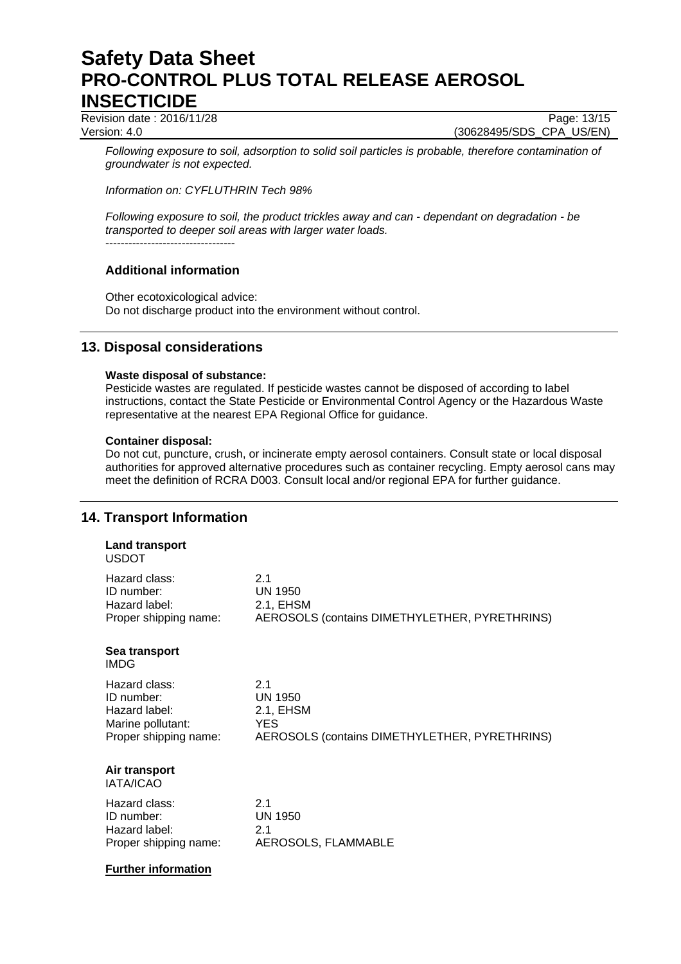Revision date : 2016/11/28 Page: 13/15

Version: 4.0 (30628495/SDS\_CPA\_US/EN)

*Following exposure to soil, adsorption to solid soil particles is probable, therefore contamination of groundwater is not expected.*

*Information on: CYFLUTHRIN Tech 98%* 

*Following exposure to soil, the product trickles away and can - dependant on degradation - be transported to deeper soil areas with larger water loads.* ----------------------------------

# **Additional information**

Other ecotoxicological advice: Do not discharge product into the environment without control.

# **13. Disposal considerations**

### **Waste disposal of substance:**

Pesticide wastes are regulated. If pesticide wastes cannot be disposed of according to label instructions, contact the State Pesticide or Environmental Control Agency or the Hazardous Waste representative at the nearest EPA Regional Office for guidance.

### **Container disposal:**

Do not cut, puncture, crush, or incinerate empty aerosol containers. Consult state or local disposal authorities for approved alternative procedures such as container recycling. Empty aerosol cans may meet the definition of RCRA D003. Consult local and/or regional EPA for further guidance.

# **14. Transport Information**

#### **Land transport**  USDOT

| Hazard class:                     | 2.1                                           |
|-----------------------------------|-----------------------------------------------|
| ID number:                        | UN 1950                                       |
| Hazard label:                     | 2.1, EHSM                                     |
| Proper shipping name:             | AEROSOLS (contains DIMETHYLETHER, PYRETHRINS) |
| Sea transport<br>IMDG.            |                                               |
| Hazard class:                     | 2.1                                           |
| ID number:                        | UN 1950                                       |
| Hazard label:                     | 2.1, EHSM                                     |
| Marine pollutant:                 | <b>YES</b>                                    |
| Proper shipping name:             | AEROSOLS (contains DIMETHYLETHER, PYRETHRINS) |
| Air transport<br><b>IATA/ICAO</b> |                                               |
| Hazard class:                     | 2.1                                           |
| ID number:                        | UN 1950                                       |
| Hazard label:                     | 2.1                                           |
| Proper shipping name:             | AEROSOLS, FLAMMABLE                           |

### **Further information**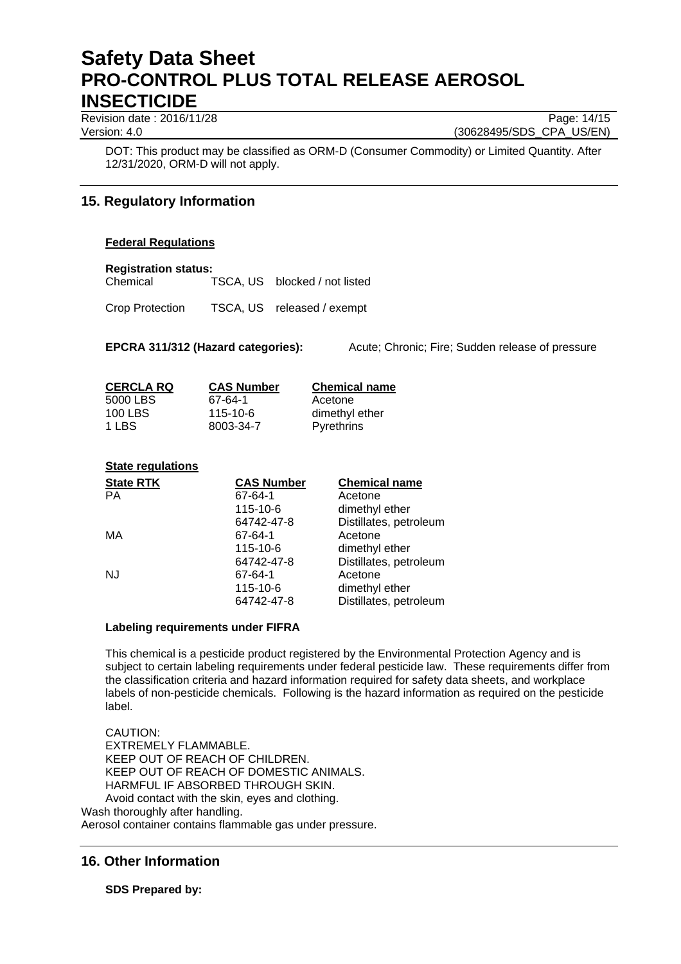Revision date : 2016/11/28 Page: 14/15

Version: 4.0 (30628495/SDS\_CPA\_US/EN)

DOT: This product may be classified as ORM-D (Consumer Commodity) or Limited Quantity. After 12/31/2020, ORM-D will not apply.

# **15. Regulatory Information**

# **Federal Regulations**

### **Registration status:**

Chemical TSCA, US blocked / not listed

Crop Protection TSCA, US released / exempt

**EPCRA 311/312 (Hazard categories):** Acute; Chronic; Fire; Sudden release of pressure

| <b>CERCLA RQ</b> | <b>CAS Number</b> | <b>Chemical name</b> |
|------------------|-------------------|----------------------|
| 5000 LBS         | 67-64-1           | Acetone              |
| 100 LBS          | $115 - 10 - 6$    | dimethyl ether       |
| 1 LBS            | 8003-34-7         | <b>Pyrethrins</b>    |

# **State regulations**

| <b>State RTK</b> | <b>CAS Number</b> | <b>Chemical name</b>   |
|------------------|-------------------|------------------------|
| <b>PA</b>        | 67-64-1           | Acetone                |
|                  | 115-10-6          | dimethyl ether         |
|                  | 64742-47-8        | Distillates, petroleum |
| MA               | 67-64-1           | Acetone                |
|                  | 115-10-6          | dimethyl ether         |
|                  | 64742-47-8        | Distillates, petroleum |
| <b>NJ</b>        | 67-64-1           | Acetone                |
|                  | 115-10-6          | dimethyl ether         |
|                  | 64742-47-8        | Distillates, petroleum |

### **Labeling requirements under FIFRA**

This chemical is a pesticide product registered by the Environmental Protection Agency and is subject to certain labeling requirements under federal pesticide law. These requirements differ from the classification criteria and hazard information required for safety data sheets, and workplace labels of non-pesticide chemicals. Following is the hazard information as required on the pesticide label.

CAUTION: EXTREMELY FLAMMABLE. KEEP OUT OF REACH OF CHILDREN. KEEP OUT OF REACH OF DOMESTIC ANIMALS. HARMFUL IF ABSORBED THROUGH SKIN. Avoid contact with the skin, eyes and clothing.

Wash thoroughly after handling.

Aerosol container contains flammable gas under pressure.

# **16. Other Information**

**SDS Prepared by:**